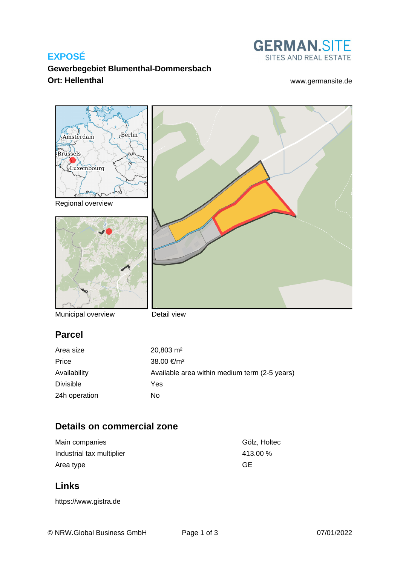## **EXPOSÉ**



## **Gewerbegebiet Blumenthal-Dommersbach Ort: Hellenthal** [www.germansite.de](http://www.germansite.de)



Municipal overview

Detail view

## **Parcel**

| Area size        | $20,803 \text{ m}^2$                          |
|------------------|-----------------------------------------------|
| Price            | 38.00 €/m <sup>2</sup>                        |
| Availability     | Available area within medium term (2-5 years) |
| <b>Divisible</b> | Yes                                           |
| 24h operation    | No.                                           |

# **Details on commercial zone**

| Main companies            | Gölz, Holtec |
|---------------------------|--------------|
| Industrial tax multiplier | 413.00 %     |
| Area type                 | GE           |

# **Links**

<https://www.gistra.de>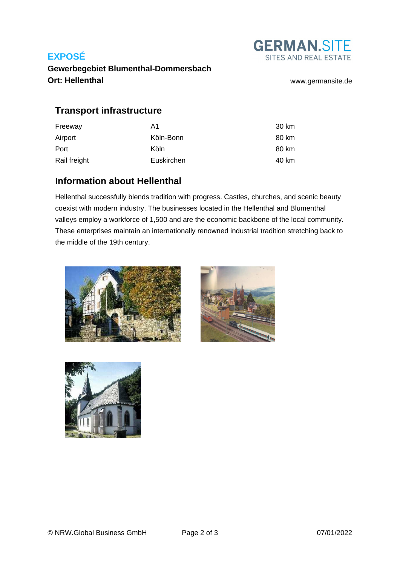## **EXPOSÉ**



**Gewerbegebiet Blumenthal-Dommersbach Ort: Hellenthal** [www.germansite.de](http://www.germansite.de)

## **Transport infrastructure**

| Freeway      | A1         | 30 km |
|--------------|------------|-------|
| Airport      | Köln-Bonn  | 80 km |
| Port         | Köln       | 80 km |
| Rail freight | Euskirchen | 40 km |

## **Information about Hellenthal**

Hellenthal successfully blends tradition with progress. Castles, churches, and scenic beauty coexist with modern industry. The businesses located in the Hellenthal and Blumenthal valleys employ a workforce of 1,500 and are the economic backbone of the local community. These enterprises maintain an internationally renowned industrial tradition stretching back to the middle of the 19th century.